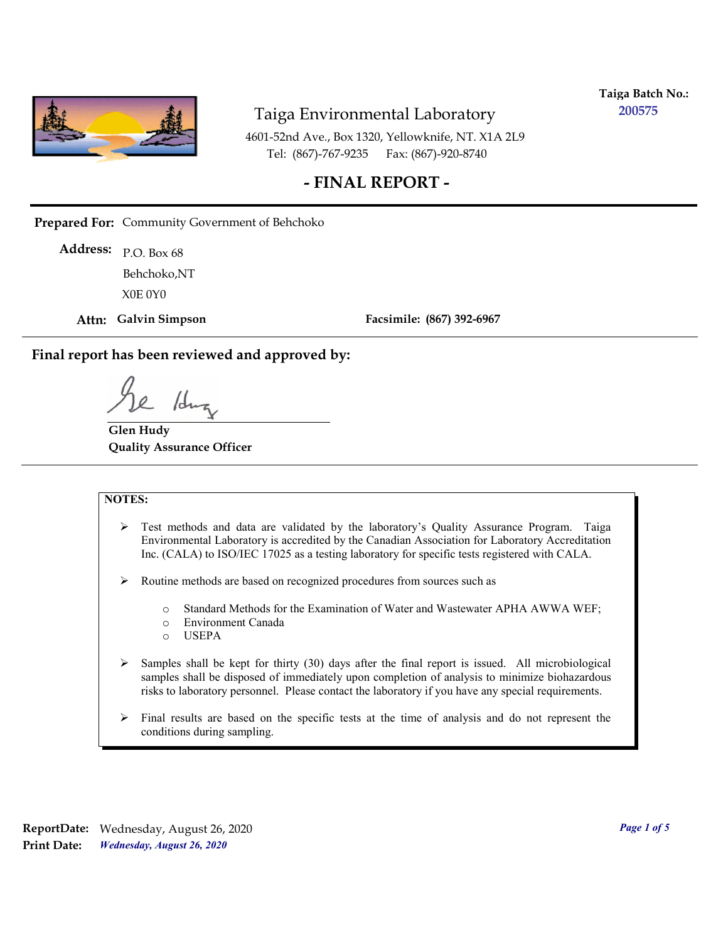

**Taiga Batch No.: 200575**

4601-52nd Ave., Box 1320, Yellowknife, NT. X1A 2L9 Tel: (867)-767-9235 Fax: (867)-920-8740

## **- FINAL REPORT -**

**Prepared For:** Community Government of Behchoko

P.O. Box 68 **Address:** X0E 0Y0 Behchoko,NT

**Attn: Galvin Simpson**

**Facsimile: (867) 392-6967**

**Final report has been reviewed and approved by:**

/dr

**Glen Hudy Quality Assurance Officer**

#### **NOTES:**

- $\triangleright$  Test methods and data are validated by the laboratory's Quality Assurance Program. Taiga Environmental Laboratory is accredited by the Canadian Association for Laboratory Accreditation Inc. (CALA) to ISO/IEC 17025 as a testing laboratory for specific tests registered with CALA.
- Routine methods are based on recognized procedures from sources such as
	- o Standard Methods for the Examination of Water and Wastewater APHA AWWA WEF;
	- o Environment Canada
	- o USEPA
- $\triangleright$  Samples shall be kept for thirty (30) days after the final report is issued. All microbiological samples shall be disposed of immediately upon completion of analysis to minimize biohazardous risks to laboratory personnel. Please contact the laboratory if you have any special requirements.
- $\triangleright$  Final results are based on the specific tests at the time of analysis and do not represent the conditions during sampling.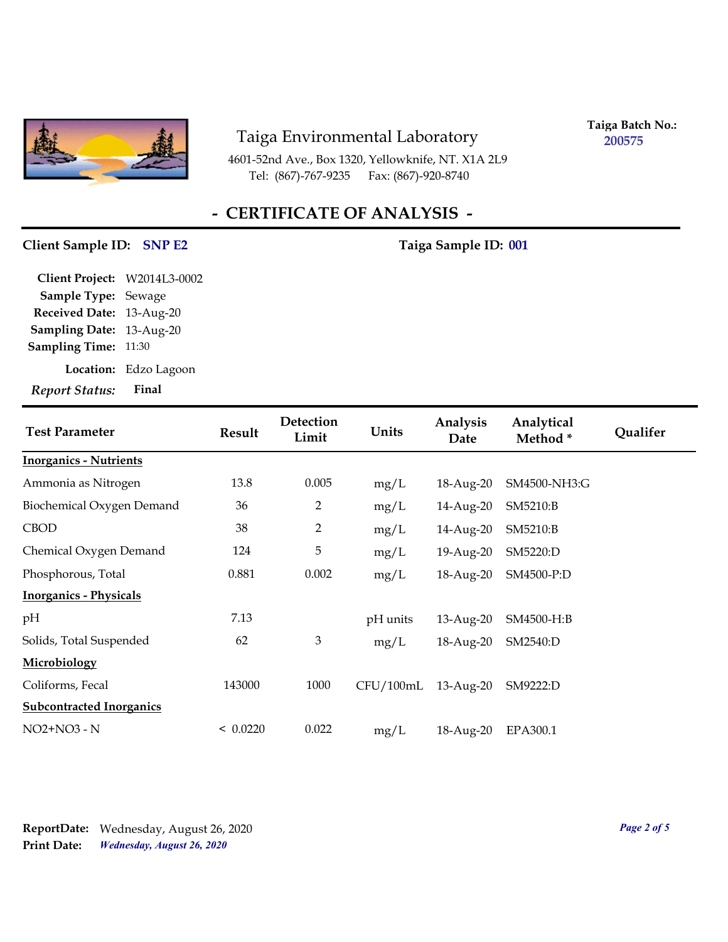

4601-52nd Ave., Box 1320, Yellowknife, NT. X1A 2L9 Tel: (867)-767-9235

**Taiga Batch No.: 200575**

## **- CERTIFICATE OF ANALYSIS -**

#### Client Sample ID: SNP E2 Taiga Sample ID: 001

| <b>Report Status:</b>        | Final                 |
|------------------------------|-----------------------|
|                              | Location: Edzo Lagoon |
| <b>Sampling Time:</b>        | 11:30                 |
| Sampling Date: 13-Aug-20     |                       |
| Received Date: 13-Aug-20     |                       |
| Sample Type: Sewage          |                       |
| Client Project: W2014L3-0002 |                       |

| <b>Test Parameter</b>           | <b>Result</b> | Detection<br>Limit | Units     | Analysis<br>Date | Analytical<br>Method* | <b>Qualifer</b> |
|---------------------------------|---------------|--------------------|-----------|------------------|-----------------------|-----------------|
| <b>Inorganics - Nutrients</b>   |               |                    |           |                  |                       |                 |
| Ammonia as Nitrogen             | 13.8          | 0.005              | mg/L      | 18-Aug-20        | SM4500-NH3:G          |                 |
| Biochemical Oxygen Demand       | 36            | 2                  | mg/L      | 14-Aug-20        | SM5210:B              |                 |
| <b>CBOD</b>                     | 38            | $\overline{2}$     | mg/L      | 14-Aug-20        | SM5210:B              |                 |
| Chemical Oxygen Demand          | 124           | 5                  | mg/L      | 19-Aug-20        | SM5220:D              |                 |
| Phosphorous, Total              | 0.881         | 0.002              | mg/L      | 18-Aug-20        | SM4500-P:D            |                 |
| <b>Inorganics - Physicals</b>   |               |                    |           |                  |                       |                 |
| pH                              | 7.13          |                    | pH units  | 13-Aug-20        | SM4500-H:B            |                 |
| Solids, Total Suspended         | 62            | 3                  | mg/L      | 18-Aug-20        | SM2540:D              |                 |
| Microbiology                    |               |                    |           |                  |                       |                 |
| Coliforms, Fecal                | 143000        | 1000               | CFU/100mL | $13$ -Aug- $20$  | SM9222:D              |                 |
| <b>Subcontracted Inorganics</b> |               |                    |           |                  |                       |                 |
| NO2+NO3 - N                     | < 0.0220      | 0.022              | mg/L      | 18-Aug-20        | EPA300.1              |                 |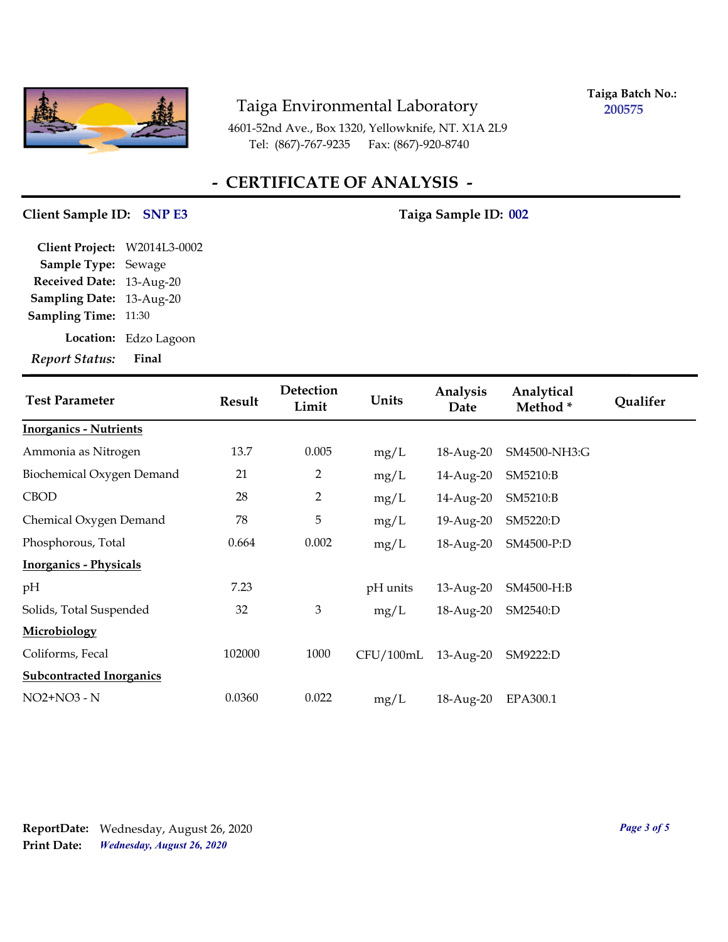

**Taiga Batch No.: 200575**

4601-52nd Ave., Box 1320, Yellowknife, NT. X1A 2L9 Tel: (867)-767-9235 Fax: (867)-920-8740

## **- CERTIFICATE OF ANALYSIS -**

### **Client Sample ID: Taiga Sample ID: SNP E3 002**

| Final                              |
|------------------------------------|
| Location: Edzo Lagoon              |
| 11:30                              |
| Sampling Date: 13-Aug-20           |
| <b>Received Date:</b><br>13-Aug-20 |
| <b>Sample Type:</b><br>Sewage      |
| Client Project: W2014L3-0002       |
|                                    |

| <b>Test Parameter</b>            | <b>Result</b> | Detection<br>Limit | Units     | Analysis<br>Date | Analytical<br>Method* | Qualifer |
|----------------------------------|---------------|--------------------|-----------|------------------|-----------------------|----------|
| <b>Inorganics - Nutrients</b>    |               |                    |           |                  |                       |          |
| Ammonia as Nitrogen              | 13.7          | 0.005              | mg/L      | 18-Aug-20        | SM4500-NH3:G          |          |
| <b>Biochemical Oxygen Demand</b> | 21            | 2                  | mg/L      | 14-Aug-20        | SM5210:B              |          |
| <b>CBOD</b>                      | 28            | 2                  | mg/L      | 14-Aug-20        | SM5210:B              |          |
| Chemical Oxygen Demand           | 78            | 5                  | mg/L      | 19-Aug-20        | SM5220:D              |          |
| Phosphorous, Total               | 0.664         | 0.002              | mg/L      | 18-Aug-20        | SM4500-P:D            |          |
| <b>Inorganics - Physicals</b>    |               |                    |           |                  |                       |          |
| pH                               | 7.23          |                    | pH units  | 13-Aug-20        | SM4500-H:B            |          |
| Solids, Total Suspended          | 32            | 3                  | mg/L      | 18-Aug-20        | SM2540:D              |          |
| <b>Microbiology</b>              |               |                    |           |                  |                       |          |
| Coliforms, Fecal                 | 102000        | 1000               | CFU/100mL | 13-Aug-20        | SM9222:D              |          |
| <b>Subcontracted Inorganics</b>  |               |                    |           |                  |                       |          |
| NO2+NO3 - N                      | 0.0360        | 0.022              | mg/L      | 18-Aug-20        | EPA300.1              |          |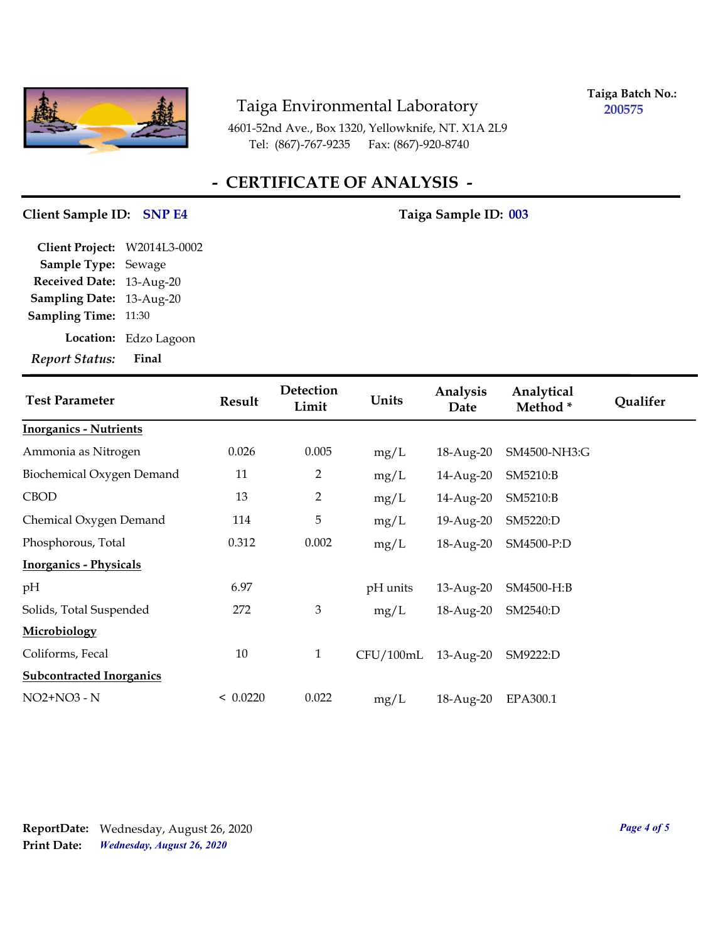

**Taiga Batch No.: 200575**

4601-52nd Ave., Box 1320, Yellowknife, NT. X1A 2L9 Tel: (867)-767-9235 Fax: (867)-920-8740

## **- CERTIFICATE OF ANALYSIS -**

## Client Sample ID: SNP E4 Taiga Sample ID: 003

| <b>Report Status:</b>        | Final       |
|------------------------------|-------------|
| Location:                    | Edzo Lagoon |
| <b>Sampling Time:</b>        | 11:30       |
| <b>Sampling Date:</b>        | 13-Aug-20   |
| <b>Received Date:</b>        | 13-Aug-20   |
| Sample Type: Sewage          |             |
| Client Project: W2014L3-0002 |             |

| <b>Test Parameter</b>           | <b>Result</b> | Detection<br>Limit | Units     | Analysis<br>Date | Analytical<br>Method* | Qualifer |
|---------------------------------|---------------|--------------------|-----------|------------------|-----------------------|----------|
| <b>Inorganics - Nutrients</b>   |               |                    |           |                  |                       |          |
| Ammonia as Nitrogen             | 0.026         | 0.005              | mg/L      | 18-Aug-20        | SM4500-NH3:G          |          |
| Biochemical Oxygen Demand       | 11            | $\overline{2}$     | mg/L      | 14-Aug-20        | SM5210:B              |          |
| <b>CBOD</b>                     | 13            | $\overline{2}$     | mg/L      | 14-Aug-20        | SM5210:B              |          |
| Chemical Oxygen Demand          | 114           | 5                  | mg/L      | 19-Aug-20        | SM5220:D              |          |
| Phosphorous, Total              | 0.312         | 0.002              | mg/L      | 18-Aug-20        | SM4500-P:D            |          |
| <b>Inorganics - Physicals</b>   |               |                    |           |                  |                       |          |
| pH                              | 6.97          |                    | pH units  | 13-Aug-20        | SM4500-H:B            |          |
| Solids, Total Suspended         | 272           | 3                  | mg/L      | 18-Aug-20        | SM2540:D              |          |
| <b>Microbiology</b>             |               |                    |           |                  |                       |          |
| Coliforms, Fecal                | 10            | $\mathbf{1}$       | CFU/100mL | 13-Aug-20        | SM9222:D              |          |
| <b>Subcontracted Inorganics</b> |               |                    |           |                  |                       |          |
| NO2+NO3 - N                     | < 0.0220      | 0.022              | mg/L      | 18-Aug-20        | EPA300.1              |          |